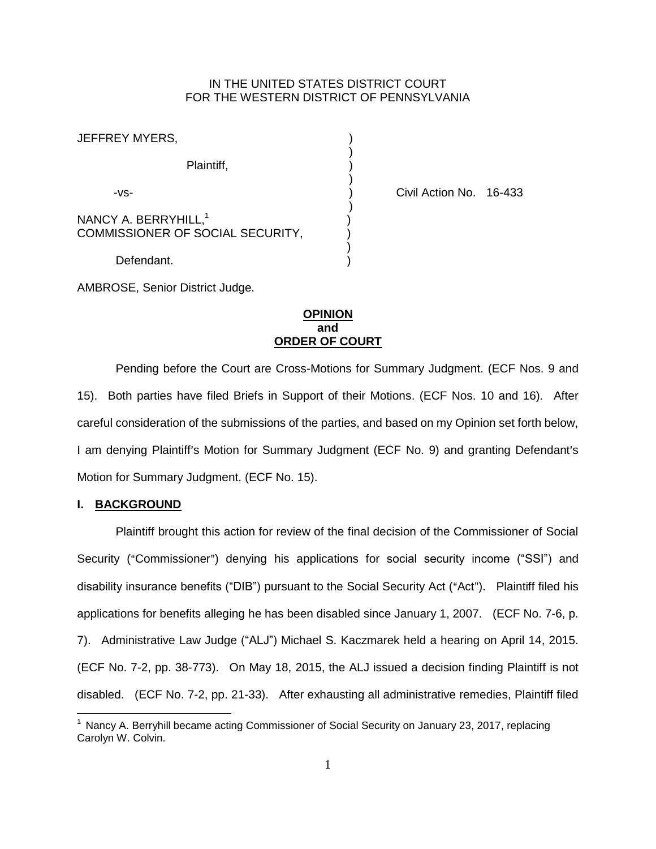### IN THE UNITED STATES DISTRICT COURT FOR THE WESTERN DISTRICT OF PENNSYLVANIA

| JEFFREY MYERS,                                                       |  |
|----------------------------------------------------------------------|--|
| Plaintiff,                                                           |  |
| -VS-                                                                 |  |
| NANCY A. BERRYHILL, <sup>1</sup><br>COMMISSIONER OF SOCIAL SECURITY, |  |
| Defendant.                                                           |  |

Civil Action No. 16-433

AMBROSE, Senior District Judge.

### **OPINION and ORDER OF COURT**

Pending before the Court are Cross-Motions for Summary Judgment. (ECF Nos. 9 and 15). Both parties have filed Briefs in Support of their Motions. (ECF Nos. 10 and 16). After careful consideration of the submissions of the parties, and based on my Opinion set forth below, I am denying Plaintiff's Motion for Summary Judgment (ECF No. 9) and granting Defendant's Motion for Summary Judgment. (ECF No. 15).

### **I. BACKGROUND**

 $\overline{a}$ 

Plaintiff brought this action for review of the final decision of the Commissioner of Social Security ("Commissioner") denying his applications for social security income ("SSI") and disability insurance benefits ("DIB") pursuant to the Social Security Act ("Act"). Plaintiff filed his applications for benefits alleging he has been disabled since January 1, 2007. (ECF No. 7-6, p. 7). Administrative Law Judge ("ALJ") Michael S. Kaczmarek held a hearing on April 14, 2015. (ECF No. 7-2, pp. 38-773). On May 18, 2015, the ALJ issued a decision finding Plaintiff is not disabled. (ECF No. 7-2, pp. 21-33). After exhausting all administrative remedies, Plaintiff filed

 $1$  Nancy A. Berryhill became acting Commissioner of Social Security on January 23, 2017, replacing Carolyn W. Colvin.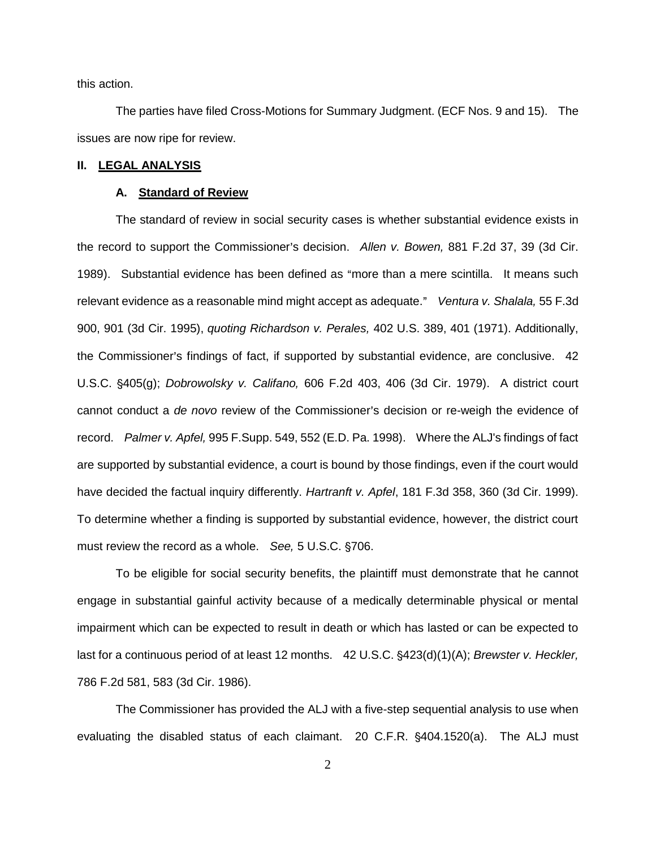this action.

The parties have filed Cross-Motions for Summary Judgment. (ECF Nos. 9 and 15). The issues are now ripe for review.

### **II. LEGAL ANALYSIS**

#### **A. Standard of Review**

The standard of review in social security cases is whether substantial evidence exists in the record to support the Commissioner's decision. Allen v. Bowen, 881 F.2d 37, 39 (3d Cir. [1989\).](http://www.westlaw.com/Find/default.wl?rs=kmfn4.8&vr=2.0&kmvr=2.6&FindType=Y&DB=0000350&serialnum=1989111756&kmsource=da3.0) Substantial evidence has been defined as "more than a mere scintilla. It means such relevant evidence as a reasonable mind might accept as adequate." [Ventura v. Shalala,](http://www.westlaw.com/Find/default.wl?rs=kmfn4.8&vr=2.0&kmvr=2.6&FindType=Y&DB=0000506&serialnum=1995121575&kmsource=da3.0) 55 F.3d [900, 901 \(3d Cir. 1995\),](http://www.westlaw.com/Find/default.wl?rs=kmfn4.8&vr=2.0&kmvr=2.6&FindType=Y&DB=0000506&serialnum=1995121575&kmsource=da3.0) *quoting Richardson v. Perales,* [402 U.S. 389, 401 \(1971\).](http://www.westlaw.com/Find/default.wl?rs=kmfn4.8&vr=2.0&kmvr=2.6&FindType=Y&DB=0000780&serialnum=1971127062&kmsource=da3.0) Additionally, the Commissioner's findings of fact, if supported by substantial evidence, are conclusive. 42 U.S.C. '405(g); *Dobrowolsky v. Califano,* [606 F.2d 403, 406 \(3d Cir. 1979\).](http://www.westlaw.com/Find/default.wl?rs=kmfn4.8&vr=2.0&kmvr=2.6&FindType=Y&DB=0000350&serialnum=1979114681&kmsource=da3.0) A district court cannot conduct a *de novo* review of the Commissioner's decision or re-weigh the evidence of record. *Palmer v. Apfel,* [995 F.Supp. 549, 552 \(E.D. Pa. 1998\).](http://www.westlaw.com/Find/default.wl?rs=kmfn4.8&vr=2.0&kmvr=2.6&FindType=Y&DB=0000345&serialnum=1998062598&kmsource=da3.0) Where the ALJ's findings of fact are supported by substantial evidence, a court is bound by those findings, even if the court would have decided the factual inquiry differently. *Hartranft v. Apfel*[, 181 F.3d 358, 360 \(3d Cir. 1999\).](http://www.westlaw.com/Find/default.wl?rs=kmfn4.8&vr=2.0&kmvr=2.6&FindType=Y&DB=0000506&serialnum=1999124157&kmsource=da3.0) To determine whether a finding is supported by substantial evidence, however, the district court must review the record as a whole. *See,* 5 U.S.C. §706.

To be eligible for social security benefits, the plaintiff must demonstrate that he cannot engage in substantial gainful activity because of a medically determinable physical or mental impairment which can be expected to result in death or which has lasted or can be expected to last for a continuous period of at least 12 months. 42 U.S.C. §423(d)(1)(A); *Brewster v. Heckler,* [786 F.2d 581, 583 \(3d Cir. 1986\).](http://www.westlaw.com/Find/default.wl?rs=kmfn4.8&vr=2.0&kmvr=2.6&FindType=Y&DB=0000350&serialnum=1986114041&kmsource=da3.0)

The Commissioner has provided the ALJ with a five-step sequential analysis to use when evaluating the disabled status of each claimant. 20 C.F.R. §404.1520(a). The ALJ must

2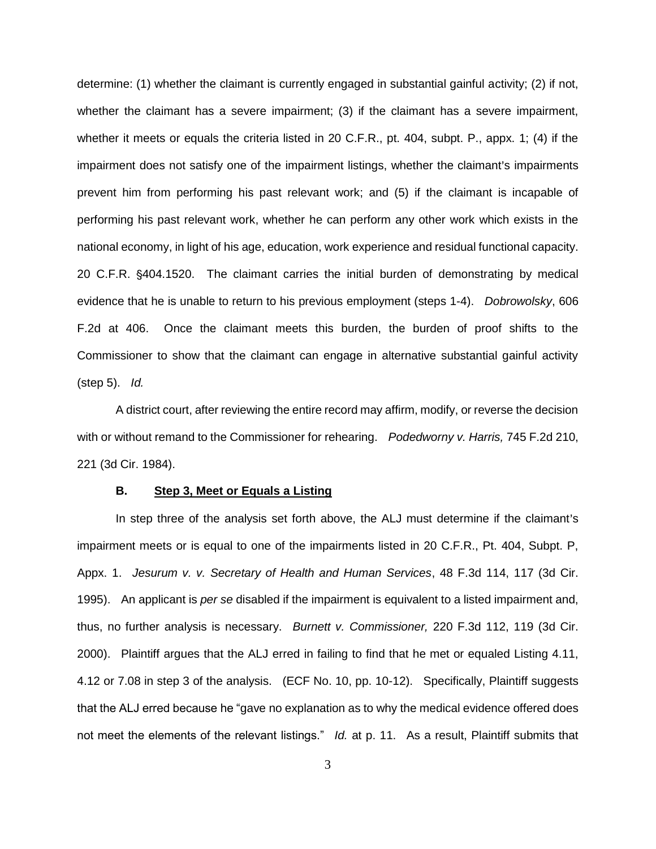determine: (1) whether the claimant is currently engaged in substantial gainful activity; (2) if not, whether the claimant has a severe impairment; (3) if the claimant has a severe impairment, whether it meets or equals the criteria listed in 20 C.F.R., pt. 404, subpt. P., appx. 1; (4) if the impairment does not satisfy one of the impairment listings, whether the claimant's impairments prevent him from performing his past relevant work; and (5) if the claimant is incapable of performing his past relevant work, whether he can perform any other work which exists in the national economy, in light of his age, education, work experience and residual functional capacity. 20 C.F.R. '404.1520. The claimant carries the initial burden of demonstrating by medical evidence that he is unable to return to his previous employment (steps 1-4). *[Dobrowolsky](http://www.westlaw.com/Find/default.wl?rs=kmfn4.8&vr=2.0&kmvr=2.6&FindType=Y&DB=0000350&serialnum=1979114681&kmsource=da3.0)*, 606 [F.2d at 406.](http://www.westlaw.com/Find/default.wl?rs=kmfn4.8&vr=2.0&kmvr=2.6&FindType=Y&DB=0000350&serialnum=1979114681&kmsource=da3.0) Once the claimant meets this burden, the burden of proof shifts to the Commissioner to show that the claimant can engage in alternative substantial gainful activity (step 5). *[Id.](http://www.westlaw.com/Find/default.wl?rs=kmfn4.8&vr=2.0&kmvr=2.6&FindType=Y&DB=0000350&serialnum=1979114681&kmsource=da3.0)*

A district court, after reviewing the entire record may affirm, modify, or reverse the decision with or without remand to the Commissioner for rehearing. *[Podedworny v. Harris,](http://www.westlaw.com/Find/default.wl?rs=kmfn4.8&vr=2.0&kmvr=2.6&FindType=Y&DB=0000350&serialnum=1984145001&kmsource=da3.0)* 745 F.2d 210, [221 \(3d Cir. 1984\).](http://www.westlaw.com/Find/default.wl?rs=kmfn4.8&vr=2.0&kmvr=2.6&FindType=Y&DB=0000350&serialnum=1984145001&kmsource=da3.0)

### **B. Step 3, Meet or Equals a Listing**

In step three of the analysis set forth above, the ALJ must determine if the claimant's impairment meets or is equal to one of the impairments listed in 20 C.F.R., Pt. 404, Subpt. P, Appx. 1. *Jesurum v. v. Secretary of Health and Human Services*, 48 F.3d 114, 117 (3d Cir. 1995). An applicant is *per se* disabled if the impairment is equivalent to a listed impairment and, thus, no further analysis is necessary. *Burnett v. Commissioner,* 220 F.3d 112, 119 (3d Cir. 2000). Plaintiff argues that the ALJ erred in failing to find that he met or equaled Listing 4.11, 4.12 or 7.08 in step 3 of the analysis. (ECF No. 10, pp. 10-12). Specifically, Plaintiff suggests that the ALJ erred because he "gave no explanation as to why the medical evidence offered does not meet the elements of the relevant listings." *Id.* at p. 11. As a result, Plaintiff submits that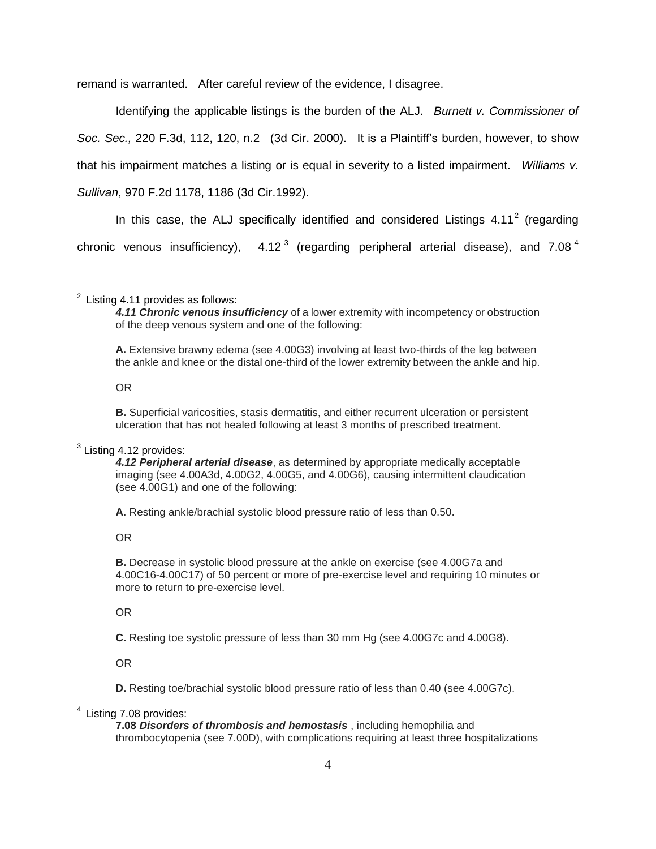remand is warranted. After careful review of the evidence, I disagree.

Identifying the applicable listings is the burden of the ALJ. *Burnett v. Commissioner of Soc. Sec.,* 220 F.3d, 112, 120, n.2 (3d Cir. 2000). It is a Plaintiff's burden, however, to show that his impairment matches a listing or is equal in severity to a listed impairment. *Williams v. Sullivan*, 970 F.2d 1178, 1186 (3d Cir.1992).

In this case, the ALJ specifically identified and considered Listings  $4.11^2$  (regarding chronic venous insufficiency),  $4.12<sup>3</sup>$  (regarding peripheral arterial disease), and 7.08<sup>4</sup>

# 2 Listing 4.11 provides as follows:

**A.** Extensive brawny edema (see 4.00G3) involving at least two-thirds of the leg between the ankle and knee or the distal one-third of the lower extremity between the ankle and hip.

OR

**B.** Superficial varicosities, stasis dermatitis, and either recurrent ulceration or persistent ulceration that has not healed following at least 3 months of prescribed treatment.

### $3$  Listing 4.12 provides:

*4.12 Peripheral arterial disease*, as determined by appropriate medically acceptable imaging (see 4.00A3d, 4.00G2, 4.00G5, and 4.00G6), causing intermittent claudication (see 4.00G1) and one of the following:

**A.** Resting ankle/brachial systolic blood pressure ratio of less than 0.50.

OR

**B.** Decrease in systolic blood pressure at the ankle on exercise (see 4.00G7a and 4.00C16-4.00C17) of 50 percent or more of pre-exercise level and requiring 10 minutes or more to return to pre-exercise level.

OR

**C.** Resting toe systolic pressure of less than 30 mm Hg (see 4.00G7c and 4.00G8).

OR

**D.** Resting toe/brachial systolic blood pressure ratio of less than 0.40 (see 4.00G7c).

### <sup>4</sup> Listing 7.08 provides:

**7.08** *Disorders of thrombosis and hemostasis* , including hemophilia and thrombocytopenia (see 7.00D), with complications requiring at least three hospitalizations

*<sup>4.11</sup> Chronic venous insufficiency* of a lower extremity with incompetency or obstruction of the deep venous system and one of the following: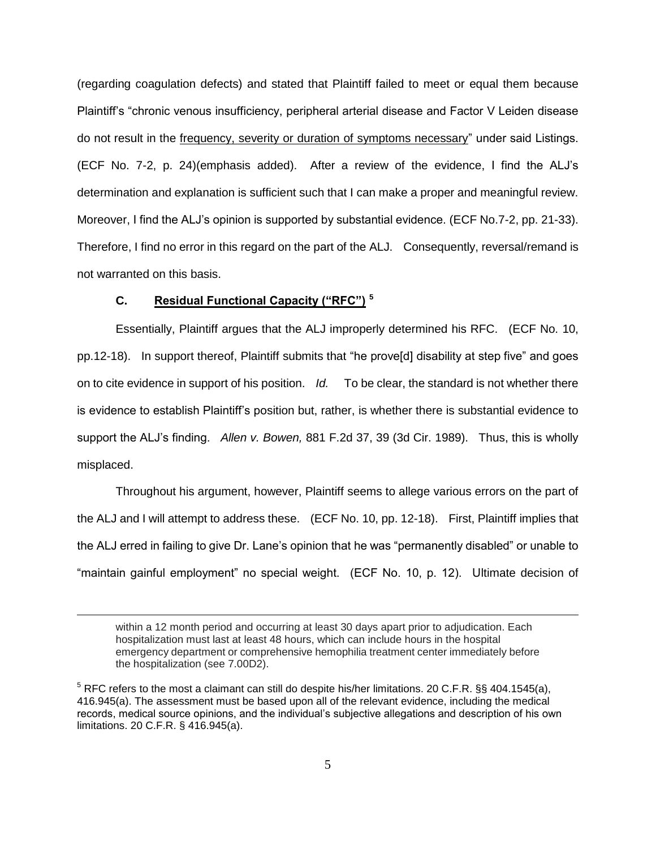(regarding coagulation defects) and stated that Plaintiff failed to meet or equal them because Plaintiff's "chronic venous insufficiency, peripheral arterial disease and Factor V Leiden disease do not result in the frequency, severity or duration of symptoms necessary" under said Listings. (ECF No. 7-2, p. 24)(emphasis added). After a review of the evidence, I find the ALJ's determination and explanation is sufficient such that I can make a proper and meaningful review. Moreover, I find the ALJ's opinion is supported by substantial evidence. (ECF No.7-2, pp. 21-33). Therefore, I find no error in this regard on the part of the ALJ. Consequently, reversal/remand is not warranted on this basis.

## **C. Residual Functional Capacity ("RFC") <sup>5</sup>**

 $\overline{a}$ 

Essentially, Plaintiff argues that the ALJ improperly determined his RFC. (ECF No. 10, pp.12-18). In support thereof, Plaintiff submits that "he prove[d] disability at step five" and goes on to cite evidence in support of his position. *Id.* To be clear, the standard is not whether there is evidence to establish Plaintiff's position but, rather, is whether there is substantial evidence to support the ALJ's finding. *Allen v. Bowen,* 881 F.2d 37, 39 (3d Cir. 1989). Thus, this is wholly misplaced.

Throughout his argument, however, Plaintiff seems to allege various errors on the part of the ALJ and I will attempt to address these. (ECF No. 10, pp. 12-18). First, Plaintiff implies that the ALJ erred in failing to give Dr. Lane's opinion that he was "permanently disabled" or unable to "maintain gainful employment" no special weight. (ECF No. 10, p. 12). Ultimate decision of

within a 12 month period and occurring at least 30 days apart prior to adjudication. Each hospitalization must last at least 48 hours, which can include hours in the hospital emergency department or comprehensive hemophilia treatment center immediately before the hospitalization (see 7.00D2).

 $5$  RFC refers to the most a claimant can still do despite his/her limitations. 20 C.F.R. §§ 404.1545(a), 416.945(a). The assessment must be based upon all of the relevant evidence, including the medical records, medical source opinions, and the individual's subjective allegations and description of his own limitations. 20 C.F.R. § 416.945(a).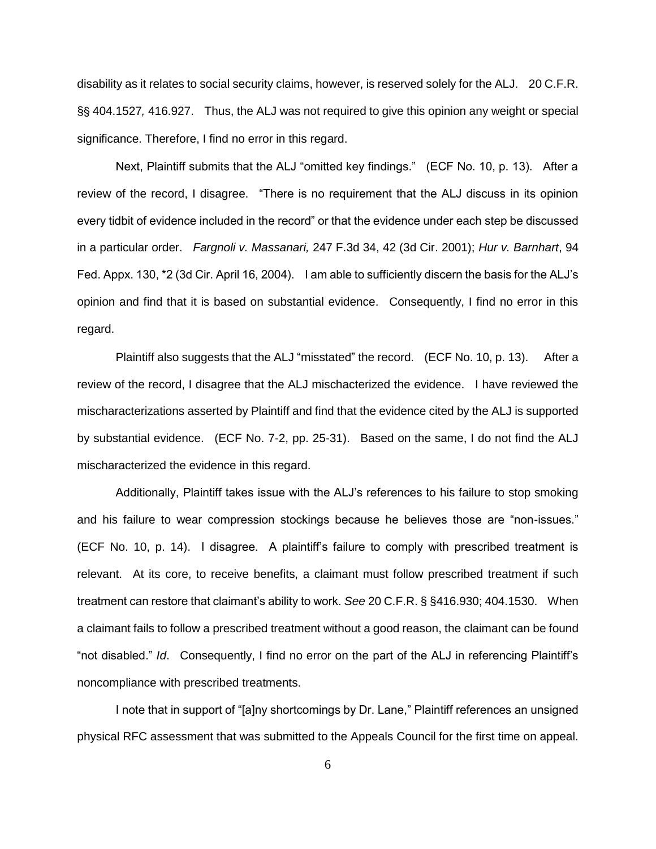disability as it relates to social security claims, however, is reserved solely for the ALJ. 20 C.F.R. §§ 404.1527, 416.927. Thus, the ALJ was not required to give this opinion any weight or special significance. Therefore, I find no error in this regard.

Next, Plaintiff submits that the ALJ "omitted key findings." (ECF No. 10, p. 13). After a review of the record, I disagree. "There is no requirement that the ALJ discuss in its opinion every tidbit of evidence included in the record" or that the evidence under each step be discussed in a particular order. *Fargnoli v. Massanari,* 247 F.3d 34, 42 (3d Cir. 2001); *Hur v. Barnhart*, 94 Fed. Appx. 130, \*2 (3d Cir. April 16, 2004). I am able to sufficiently discern the basis for the ALJ's opinion and find that it is based on substantial evidence. Consequently, I find no error in this regard.

Plaintiff also suggests that the ALJ "misstated" the record. (ECF No. 10, p. 13). After a review of the record, I disagree that the ALJ mischacterized the evidence. I have reviewed the mischaracterizations asserted by Plaintiff and find that the evidence cited by the ALJ is supported by substantial evidence. (ECF No. 7-2, pp. 25-31). Based on the same, I do not find the ALJ mischaracterized the evidence in this regard.

Additionally, Plaintiff takes issue with the ALJ's references to his failure to stop smoking and his failure to wear compression stockings because he believes those are "non-issues." (ECF No. 10, p. 14). I disagree. A plaintiff's failure to comply with prescribed treatment is relevant. At its core, to receive benefits, a claimant must follow prescribed treatment if such treatment can restore that claimant's ability to work. *See* 20 C.F.R. § §416.930; 404.1530. When a claimant fails to follow a prescribed treatment without a good reason, the claimant can be found "not disabled." *Id*. Consequently, I find no error on the part of the ALJ in referencing Plaintiff's noncompliance with prescribed treatments.

I note that in support of "[a]ny shortcomings by Dr. Lane," Plaintiff references an unsigned physical RFC assessment that was submitted to the Appeals Council for the first time on appeal.

6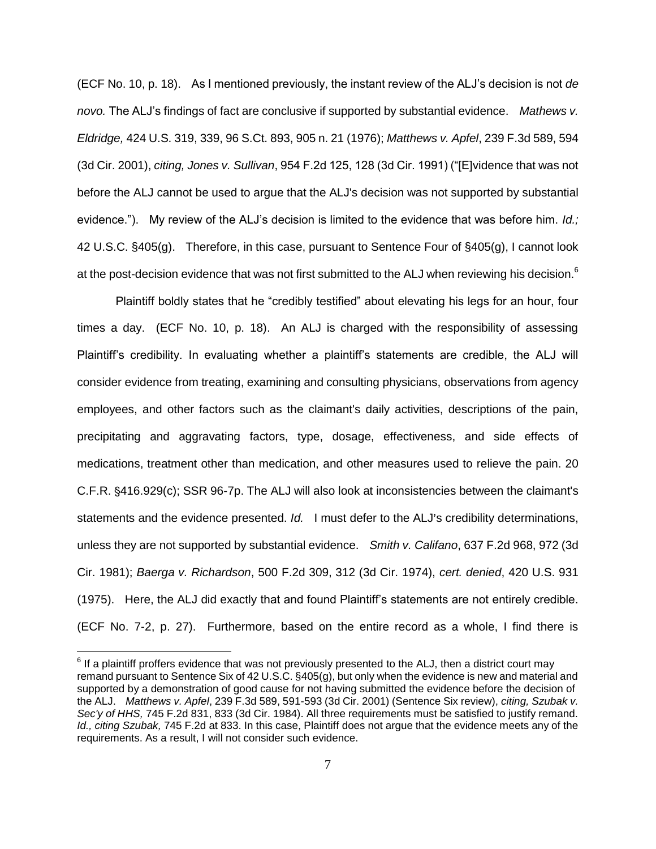(ECF No. 10, p. 18). As I mentioned previously, the instant review of the ALJ's decision is not *de novo.* The ALJ's findings of fact are conclusive if supported by substantial evidence. *Mathews v. Eldridge,* 424 U.S. 319, 339, 96 S.Ct. 893, 905 n. 21 (1976); *Matthews v. Apfel*, 239 F.3d 589, 594 (3d Cir. 2001), *citing, Jones v. Sullivan*, 954 F.2d 125, 128 (3d Cir. 1991) ("[E]vidence that was not before the ALJ cannot be used to argue that the ALJ's decision was not supported by substantial evidence."). My review of the ALJ's decision is limited to the evidence that was before him. *Id.;*  42 U.S.C. §405(g). Therefore, in this case, pursuant to Sentence Four of §405(g), I cannot look at the post-decision evidence that was not first submitted to the ALJ when reviewing his decision.<sup>6</sup>

Plaintiff boldly states that he "credibly testified" about elevating his legs for an hour, four times a day. (ECF No. 10, p. 18). An ALJ is charged with the responsibility of assessing Plaintiff's credibility. In evaluating whether a plaintiff's statements are credible, the ALJ will consider evidence from treating, examining and consulting physicians, observations from agency employees, and other factors such as the claimant's daily activities, descriptions of the pain, precipitating and aggravating factors, type, dosage, effectiveness, and side effects of medications, treatment other than medication, and other measures used to relieve the pain. 20 C.F.R. '416.929(c); SSR 96-7p. The ALJ will also look at inconsistencies between the claimant's statements and the evidence presented. *Id.* I must defer to the ALJ's credibility determinations, unless they are not supported by substantial evidence. *Smith v. Califano*, 637 F.2d 968, 972 (3d Cir. 1981); *Baerga v. Richardson*, 500 F.2d 309, 312 (3d Cir. 1974), *cert. denied*, 420 U.S. 931 (1975). Here, the ALJ did exactly that and found Plaintiff's statements are not entirely credible. (ECF No. 7-2, p. 27). Furthermore, based on the entire record as a whole, I find there is

 $\overline{a}$ 

 $6$  If a plaintiff proffers evidence that was not previously presented to the ALJ, then a district court may remand pursuant to Sentence Six of 42 U.S.C. §405(g), but only when the evidence is new and material and supported by a demonstration of good cause for not having submitted the evidence before the decision of the ALJ. *Matthews v. Apfel*, 239 F.3d 589, 591-593 (3d Cir. 2001) (Sentence Six review), *citing, Szubak v. Sec'y of HHS,* 745 F.2d 831, 833 (3d Cir. 1984). All three requirements must be satisfied to justify remand. *Id., citing Szubak,* 745 F.2d at 833. In this case, Plaintiff does not argue that the evidence meets any of the requirements. As a result, I will not consider such evidence.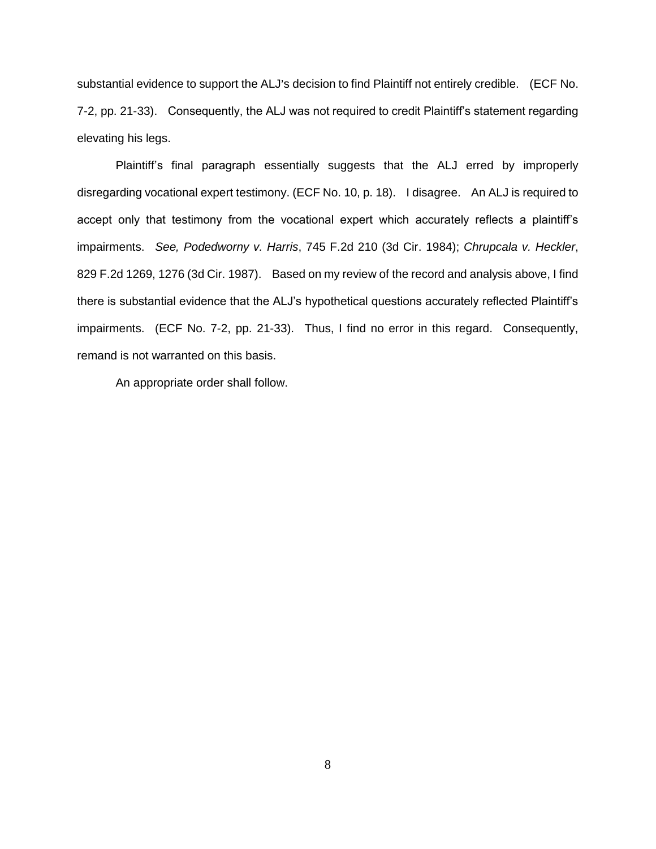substantial evidence to support the ALJ's decision to find Plaintiff not entirely credible. (ECF No. 7-2, pp. 21-33).Consequently, the ALJ was not required to credit Plaintiff's statement regarding elevating his legs.

Plaintiff's final paragraph essentially suggests that the ALJ erred by improperly disregarding vocational expert testimony. (ECF No. 10, p. 18). I disagree. An ALJ is required to accept only that testimony from the vocational expert which accurately reflects a plaintiff's impairments. *See, Podedworny v. Harris*, 745 F.2d 210 (3d Cir. 1984); *Chrupcala v. Heckler*, 829 F.2d 1269, 1276 (3d Cir. 1987). Based on my review of the record and analysis above, I find there is substantial evidence that the ALJ's hypothetical questions accurately reflected Plaintiff's impairments. (ECF No. 7-2, pp. 21-33). Thus, I find no error in this regard. Consequently, remand is not warranted on this basis.

An appropriate order shall follow.